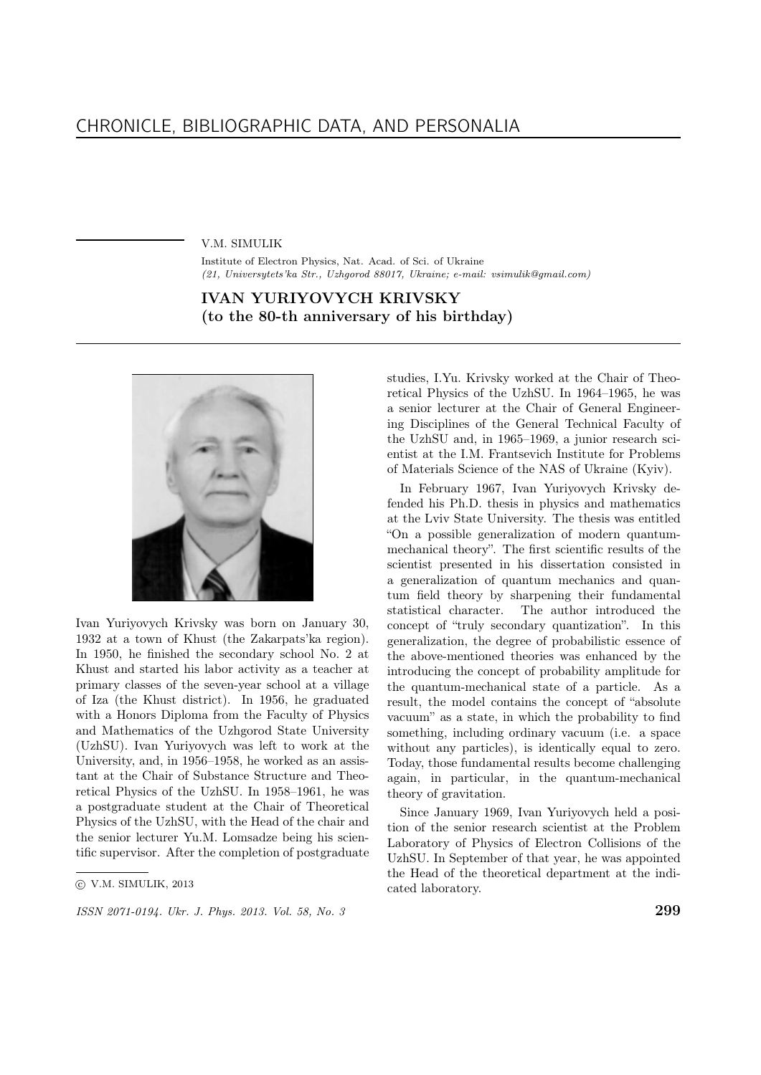V.M. SIMULIK

Institute of Electron Physics, Nat. Acad. of Sci. of Ukraine (21, Universytets'ka Str., Uzhgorod 88017, Ukraine; e-mail: vsimulik@gmail.com)

## IVAN YURIYOVYCH KRIVSKY (to the 80-th anniversary of his birthday)



Ivan Yuriyovych Krivsky was born on January 30, 1932 at a town of Khust (the Zakarpats'ka region). In 1950, he finished the secondary school No. 2 at Khust and started his labor activity as a teacher at primary classes of the seven-year school at a village of Iza (the Khust district). In 1956, he graduated with a Honors Diploma from the Faculty of Physics and Mathematics of the Uzhgorod State University (UzhSU). Ivan Yuriyovych was left to work at the University, and, in 1956–1958, he worked as an assistant at the Chair of Substance Structure and Theoretical Physics of the UzhSU. In 1958–1961, he was a postgraduate student at the Chair of Theoretical Physics of the UzhSU, with the Head of the chair and the senior lecturer Yu.M. Lomsadze being his scientific supervisor. After the completion of postgraduate

ISSN 2071-0194. Ukr. J. Phys. 2013. Vol. 58, No. 3 2013.

studies, I.Yu. Krivsky worked at the Chair of Theoretical Physics of the UzhSU. In 1964–1965, he was a senior lecturer at the Chair of General Engineering Disciplines of the General Technical Faculty of the UzhSU and, in 1965–1969, a junior research scientist at the I.M. Frantsevich Institute for Problems of Materials Science of the NAS of Ukraine (Kyiv).

In February 1967, Ivan Yuriyovych Krivsky defended his Ph.D. thesis in physics and mathematics at the Lviv State University. The thesis was entitled "On a possible generalization of modern quantummechanical theory". The first scientific results of the scientist presented in his dissertation consisted in a generalization of quantum mechanics and quantum field theory by sharpening their fundamental statistical character. The author introduced the concept of "truly secondary quantization". In this generalization, the degree of probabilistic essence of the above-mentioned theories was enhanced by the introducing the concept of probability amplitude for the quantum-mechanical state of a particle. As a result, the model contains the concept of "absolute vacuum" as a state, in which the probability to find something, including ordinary vacuum (i.e. a space without any particles), is identically equal to zero. Today, those fundamental results become challenging again, in particular, in the quantum-mechanical theory of gravitation.

Since January 1969, Ivan Yuriyovych held a position of the senior research scientist at the Problem Laboratory of Physics of Electron Collisions of the UzhSU. In September of that year, he was appointed the Head of the theoretical department at the indicated laboratory.

c V.M. SIMULIK, 2013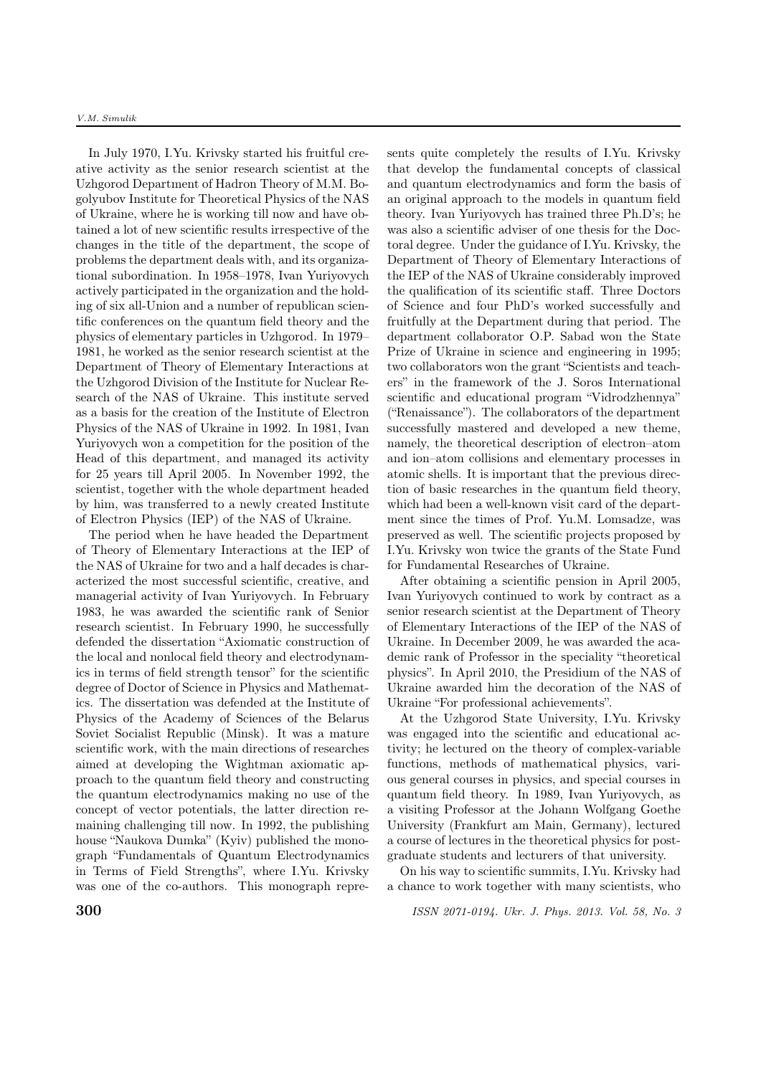In July 1970, I.Yu. Krivsky started his fruitful creative activity as the senior research scientist at the Uzhgorod Department of Hadron Theory of M.M. Bogolyubov Institute for Theoretical Physics of the NAS of Ukraine, where he is working till now and have obtained a lot of new scientific results irrespective of the changes in the title of the department, the scope of problems the department deals with, and its organizational subordination. In 1958–1978, Ivan Yuriyovych actively participated in the organization and the holding of six all-Union and a number of republican scientific conferences on the quantum field theory and the physics of elementary particles in Uzhgorod. In 1979– 1981, he worked as the senior research scientist at the Department of Theory of Elementary Interactions at the Uzhgorod Division of the Institute for Nuclear Research of the NAS of Ukraine. This institute served as a basis for the creation of the Institute of Electron Physics of the NAS of Ukraine in 1992. In 1981, Ivan Yuriyovych won a competition for the position of the Head of this department, and managed its activity for 25 years till April 2005. In November 1992, the scientist, together with the whole department headed by him, was transferred to a newly created Institute of Electron Physics (IEP) of the NAS of Ukraine.

The period when he have headed the Department of Theory of Elementary Interactions at the IEP of the NAS of Ukraine for two and a half decades is characterized the most successful scientific, creative, and managerial activity of Ivan Yuriyovych. In February 1983, he was awarded the scientific rank of Senior research scientist. In February 1990, he successfully defended the dissertation "Axiomatic construction of the local and nonlocal field theory and electrodynamics in terms of field strength tensor" for the scientific degree of Doctor of Science in Physics and Mathematics. The dissertation was defended at the Institute of Physics of the Academy of Sciences of the Belarus Soviet Socialist Republic (Minsk). It was a mature scientific work, with the main directions of researches aimed at developing the Wightman axiomatic approach to the quantum field theory and constructing the quantum electrodynamics making no use of the concept of vector potentials, the latter direction remaining challenging till now. In 1992, the publishing house "Naukova Dumka" (Kyiv) published the monograph "Fundamentals of Quantum Electrodynamics in Terms of Field Strengths", where I.Yu. Krivsky was one of the co-authors. This monograph represents quite completely the results of I.Yu. Krivsky that develop the fundamental concepts of classical and quantum electrodynamics and form the basis of an original approach to the models in quantum field theory. Ivan Yuriyovych has trained three Ph.D's; he was also a scientific adviser of one thesis for the Doctoral degree. Under the guidance of I.Yu. Krivsky, the Department of Theory of Elementary Interactions of the IEP of the NAS of Ukraine considerably improved the qualification of its scientific staff. Three Doctors of Science and four PhD's worked successfully and fruitfully at the Department during that period. The department collaborator O.P. Sabad won the State Prize of Ukraine in science and engineering in 1995; two collaborators won the grant "Scientists and teachers" in the framework of the J. Soros International scientific and educational program "Vidrodzhennya" ("Renaissance"). The collaborators of the department successfully mastered and developed a new theme, namely, the theoretical description of electron–atom and ion–atom collisions and elementary processes in atomic shells. It is important that the previous direction of basic researches in the quantum field theory, which had been a well-known visit card of the department since the times of Prof. Yu.M. Lomsadze, was preserved as well. The scientific projects proposed by I.Yu. Krivsky won twice the grants of the State Fund for Fundamental Researches of Ukraine.

After obtaining a scientific pension in April 2005, Ivan Yuriyovych continued to work by contract as a senior research scientist at the Department of Theory of Elementary Interactions of the IEP of the NAS of Ukraine. In December 2009, he was awarded the academic rank of Professor in the speciality "theoretical physics". In April 2010, the Presidium of the NAS of Ukraine awarded him the decoration of the NAS of Ukraine "For professional achievements".

At the Uzhgorod State University, I.Yu. Krivsky was engaged into the scientific and educational activity; he lectured on the theory of complex-variable functions, methods of mathematical physics, various general courses in physics, and special courses in quantum field theory. In 1989, Ivan Yuriyovych, as a visiting Professor at the Johann Wolfgang Goethe University (Frankfurt am Main, Germany), lectured a course of lectures in the theoretical physics for postgraduate students and lecturers of that university.

On his way to scientific summits, I.Yu. Krivsky had a chance to work together with many scientists, who

**300** ISSN 2071-0194. Ukr. J. Phys. 2013. Vol. 58, No. 3